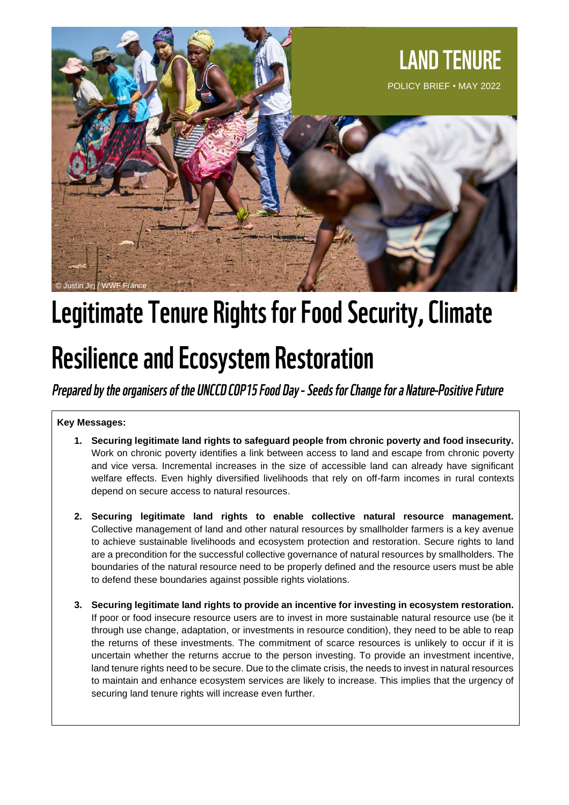

# Legitimate Tenure Rights for Food Security, Climate

# **Resilience and Ecosystem Restoration**

Prepared by the organisers of the UNCCD COP15 Food Day - Seeds for Change for a Nature-Positive Future

#### **Key Messages:**

- **1. Securing legitimate land rights to safeguard people from chronic poverty and food insecurity.**  Work on chronic poverty identifies a link between access to land and escape from chronic poverty and vice versa. Incremental increases in the size of accessible land can already have significant welfare effects. Even highly diversified livelihoods that rely on off-farm incomes in rural contexts depend on secure access to natural resources.
- **2. Securing legitimate land rights to enable collective natural resource management.**  Collective management of land and other natural resources by smallholder farmers is a key avenue to achieve sustainable livelihoods and ecosystem protection and restoration. Secure rights to land are a precondition for the successful collective governance of natural resources by smallholders. The boundaries of the natural resource need to be properly defined and the resource users must be able to defend these boundaries against possible rights violations.
- **3. Securing legitimate land rights to provide an incentive for investing in ecosystem restoration.** If poor or food insecure resource users are to invest in more sustainable natural resource use (be it through use change, adaptation, or investments in resource condition), they need to be able to reap the returns of these investments. The commitment of scarce resources is unlikely to occur if it is uncertain whether the returns accrue to the person investing. To provide an investment incentive, land tenure rights need to be secure. Due to the climate crisis, the needs to invest in natural resources to maintain and enhance ecosystem services are likely to increase. This implies that the urgency of securing land tenure rights will increase even further.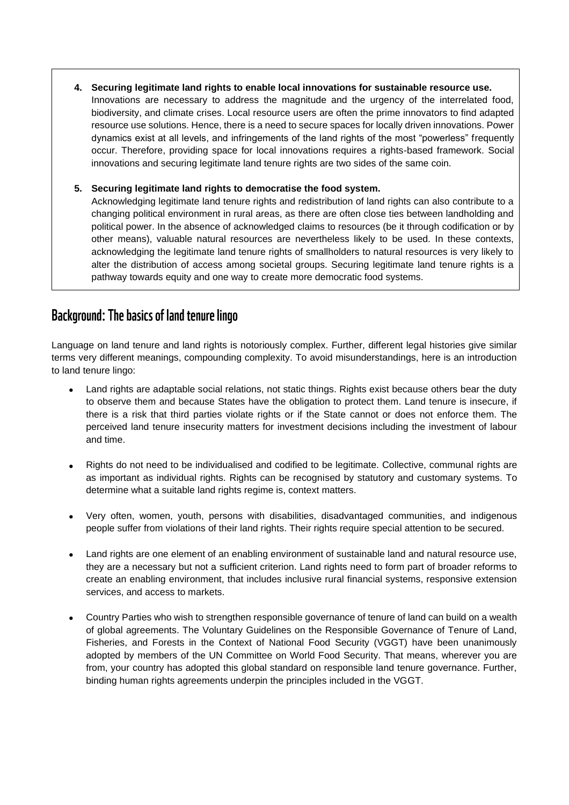- **4. Securing legitimate land rights to enable local innovations for sustainable resource use.**
	- Innovations are necessary to address the magnitude and the urgency of the interrelated food, biodiversity, and climate crises. Local resource users are often the prime innovators to find adapted resource use solutions. Hence, there is a need to secure spaces for locally driven innovations. Power dynamics exist at all levels, and infringements of the land rights of the most "powerless" frequently occur. Therefore, providing space for local innovations requires a rights-based framework. Social innovations and securing legitimate land tenure rights are two sides of the same coin.

#### **5. Securing legitimate land rights to democratise the food system.**

Acknowledging legitimate land tenure rights and redistribution of land rights can also contribute to a changing political environment in rural areas, as there are often close ties between landholding and political power. In the absence of acknowledged claims to resources (be it through codification or by other means), valuable natural resources are nevertheless likely to be used. In these contexts, acknowledging the legitimate land tenure rights of smallholders to natural resources is very likely to alter the distribution of access among societal groups. Securing legitimate land tenure rights is a pathway towards equity and one way to create more democratic food systems.

# **Background: The basics of land tenure lingo**

Language on land tenure and land rights is notoriously complex. Further, different legal histories give similar terms very different meanings, compounding complexity. To avoid misunderstandings, here is an introduction to land tenure lingo:

- Land rights are adaptable social relations, not static things. Rights exist because others bear the duty to observe them and because States have the obligation to protect them. Land tenure is insecure, if there is a risk that third parties violate rights or if the State cannot or does not enforce them. The perceived land tenure insecurity matters for investment decisions including the investment of labour and time.
- Rights do not need to be individualised and codified to be legitimate. Collective, communal rights are as important as individual rights. Rights can be recognised by statutory and customary systems. To determine what a suitable land rights regime is, context matters.
- Very often, women, youth, persons with disabilities, disadvantaged communities, and indigenous people suffer from violations of their land rights. Their rights require special attention to be secured.
- Land rights are one element of an enabling environment of sustainable land and natural resource use, they are a necessary but not a sufficient criterion. Land rights need to form part of broader reforms to create an enabling environment, that includes inclusive rural financial systems, responsive extension services, and access to markets.
- Country Parties who wish to strengthen responsible governance of tenure of land can build on a wealth of global agreements. The Voluntary Guidelines on the Responsible Governance of Tenure of Land, Fisheries, and Forests in the Context of National Food Security (VGGT) have been unanimously adopted by members of the UN Committee on World Food Security. That means, wherever you are from, your country has adopted this global standard on responsible land tenure governance. Further, binding human rights agreements underpin the principles included in the VGGT.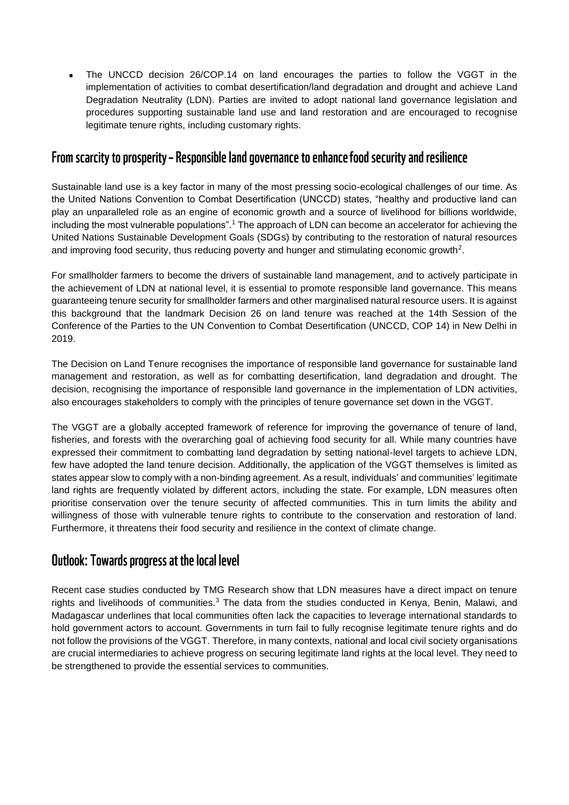The UNCCD decision 26/COP.14 on land encourages the parties to follow the VGGT in the implementation of activities to combat desertification/land degradation and drought and achieve Land Degradation Neutrality (LDN). Parties are invited to adopt national land governance legislation and procedures supporting sustainable land use and land restoration and are encouraged to recognise legitimate tenure rights, including customary rights.

# From scarcity to prosperity – Responsible land governance to enhance food security and resilience

Sustainable land use is a key factor in many of the most pressing socio-ecological challenges of our time. As the United Nations Convention to Combat Desertification (UNCCD) states, "healthy and productive land can play an unparalleled role as an engine of economic growth and a source of livelihood for billions worldwide, including the most vulnerable populations".<sup>1</sup> The approach of LDN can become an accelerator for achieving the United Nations Sustainable Development Goals (SDGs) by contributing to the restoration of natural resources and improving food security, thus reducing poverty and hunger and stimulating economic growth<sup>2</sup>.

For smallholder farmers to become the drivers of sustainable land management, and to actively participate in the achievement of LDN at national level, it is essential to promote responsible land governance. This means guaranteeing tenure security for smallholder farmers and other marginalised natural resource users. It is against this background that the landmark Decision 26 on land tenure was reached at the 14th Session of the Conference of the Parties to the UN Convention to Combat Desertification (UNCCD, COP 14) in New Delhi in 2019.

The Decision on Land Tenure recognises the importance of responsible land governance for sustainable land management and restoration, as well as for combatting desertification, land degradation and drought. The decision, recognising the importance of responsible land governance in the implementation of LDN activities, also encourages stakeholders to comply with the principles of tenure governance set down in the VGGT.

The VGGT are a globally accepted framework of reference for improving the governance of tenure of land, fisheries, and forests with the overarching goal of achieving food security for all. While many countries have expressed their commitment to combatting land degradation by setting national-level targets to achieve LDN, few have adopted the land tenure decision. Additionally, the application of the VGGT themselves is limited as states appear slow to comply with a non-binding agreement. As a result, individuals' and communities' legitimate land rights are frequently violated by different actors, including the state. For example, LDN measures often prioritise conservation over the tenure security of affected communities. This in turn limits the ability and willingness of those with vulnerable tenure rights to contribute to the conservation and restoration of land. Furthermore, it threatens their food security and resilience in the context of climate change.

# **Outlook: Towards progress at the local level**

Recent case studies conducted by TMG Research show that LDN measures have a direct impact on tenure rights and livelihoods of communities.<sup>3</sup> The data from the studies conducted in Kenya, Benin, Malawi, and Madagascar underlines that local communities often lack the capacities to leverage international standards to hold government actors to account. Governments in turn fail to fully recognise legitimate tenure rights and do not follow the provisions of the VGGT. Therefore, in many contexts, national and local civil society organisations are crucial intermediaries to achieve progress on securing legitimate land rights at the local level. They need to be strengthened to provide the essential services to communities.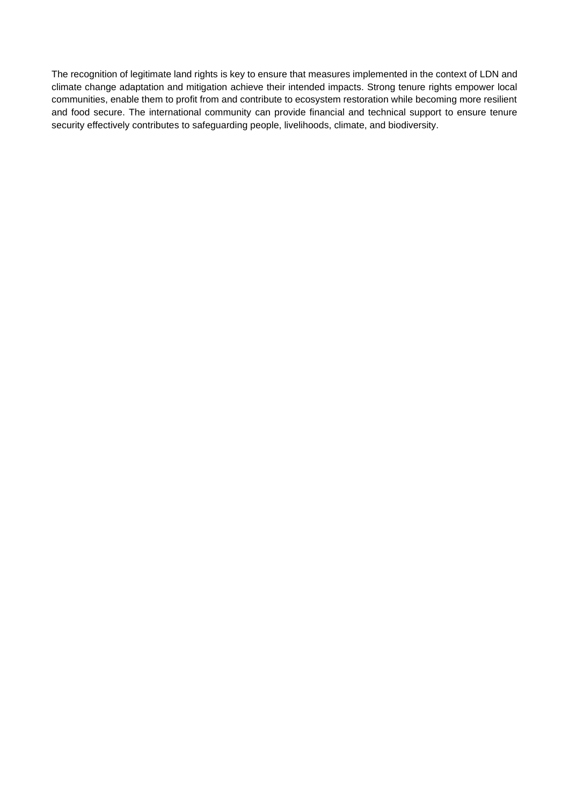The recognition of legitimate land rights is key to ensure that measures implemented in the context of LDN and climate change adaptation and mitigation achieve their intended impacts. Strong tenure rights empower local communities, enable them to profit from and contribute to ecosystem restoration while becoming more resilient and food secure. The international community can provide financial and technical support to ensure tenure security effectively contributes to safeguarding people, livelihoods, climate, and biodiversity.